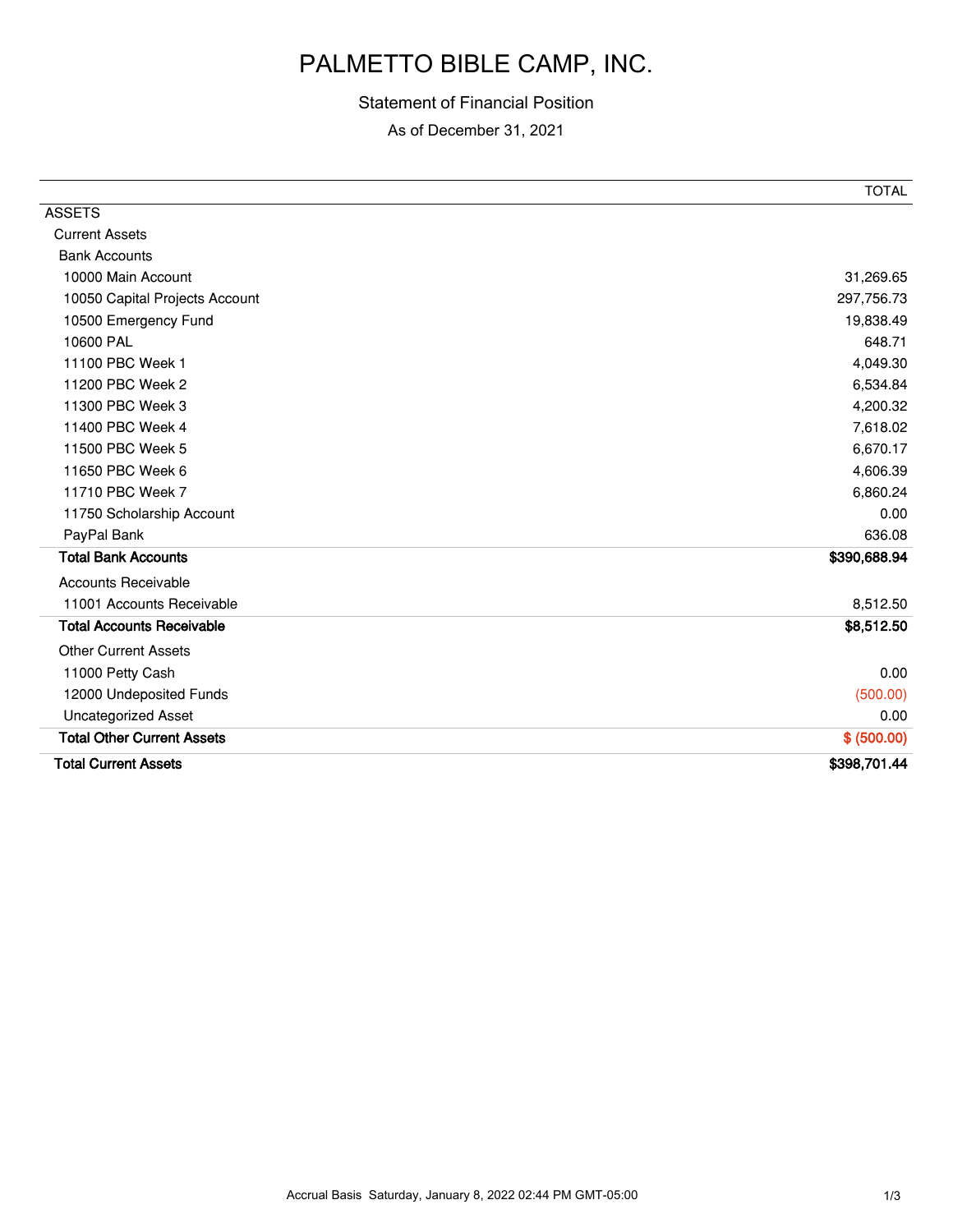# PALMETTO BIBLE CAMP, INC.

## Statement of Financial Position

As of December 31, 2021

| <b>ASSETS</b>                     | <b>TOTAL</b> |
|-----------------------------------|--------------|
| <b>Current Assets</b>             |              |
| <b>Bank Accounts</b>              |              |
| 10000 Main Account                | 31,269.65    |
| 10050 Capital Projects Account    | 297,756.73   |
| 10500 Emergency Fund              | 19,838.49    |
| 10600 PAL                         | 648.71       |
| 11100 PBC Week 1                  | 4,049.30     |
| 11200 PBC Week 2                  | 6,534.84     |
| 11300 PBC Week 3                  | 4,200.32     |
| 11400 PBC Week 4                  | 7,618.02     |
| 11500 PBC Week 5                  | 6,670.17     |
| 11650 PBC Week 6                  | 4,606.39     |
| 11710 PBC Week 7                  | 6,860.24     |
| 11750 Scholarship Account         | 0.00         |
| PayPal Bank                       | 636.08       |
| <b>Total Bank Accounts</b>        | \$390,688.94 |
| <b>Accounts Receivable</b>        |              |
| 11001 Accounts Receivable         | 8,512.50     |
| <b>Total Accounts Receivable</b>  | \$8,512.50   |
| <b>Other Current Assets</b>       |              |
| 11000 Petty Cash                  | 0.00         |
| 12000 Undeposited Funds           | (500.00)     |
| <b>Uncategorized Asset</b>        | 0.00         |
| <b>Total Other Current Assets</b> | \$ (500.00)  |
| <b>Total Current Assets</b>       | \$398,701.44 |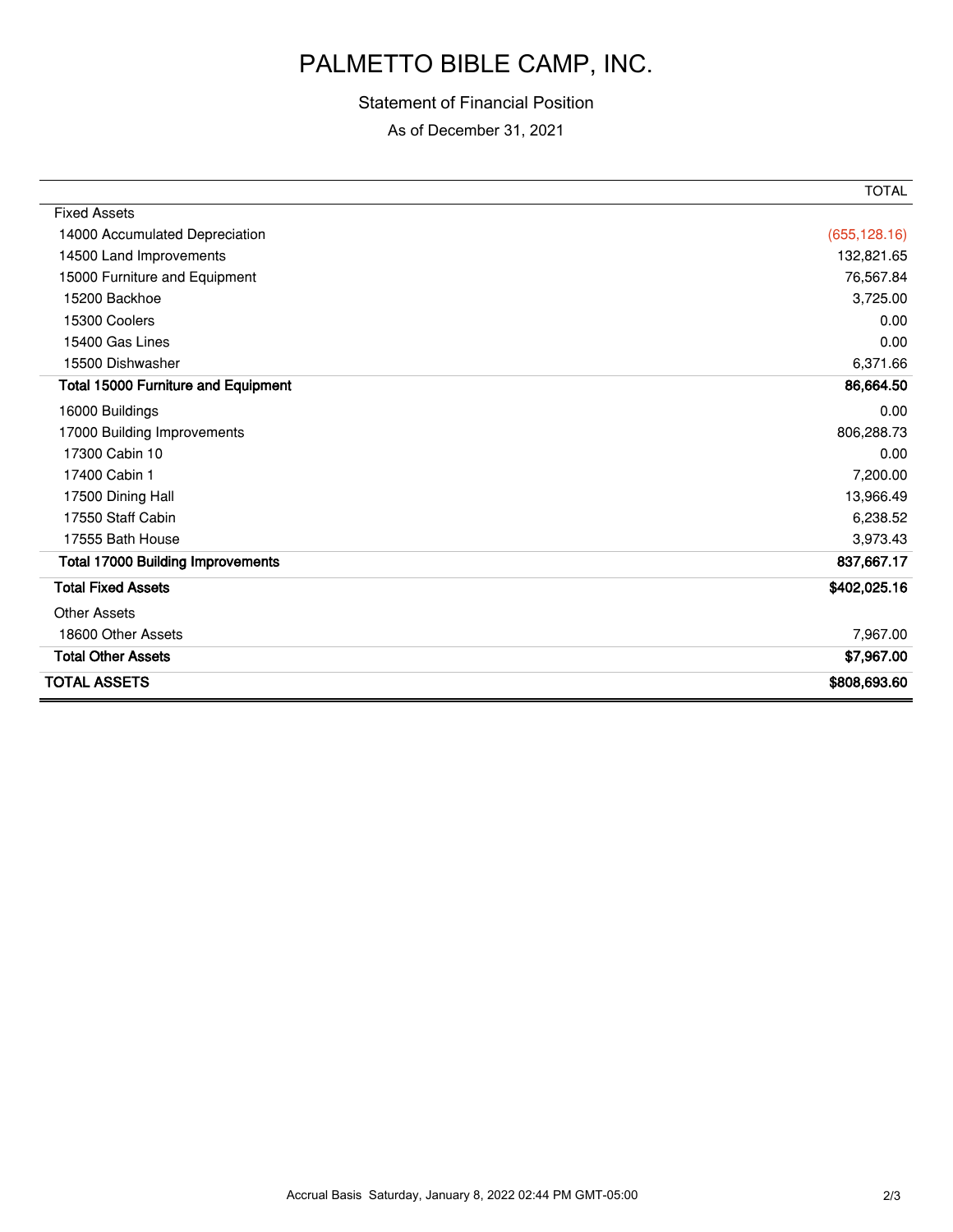## PALMETTO BIBLE CAMP, INC.

## Statement of Financial Position

As of December 31, 2021

|                                            | <b>TOTAL</b>  |
|--------------------------------------------|---------------|
| <b>Fixed Assets</b>                        |               |
| 14000 Accumulated Depreciation             | (655, 128.16) |
| 14500 Land Improvements                    | 132,821.65    |
| 15000 Furniture and Equipment              | 76,567.84     |
| 15200 Backhoe                              | 3,725.00      |
| 15300 Coolers                              | 0.00          |
| 15400 Gas Lines                            | 0.00          |
| 15500 Dishwasher                           | 6,371.66      |
| <b>Total 15000 Furniture and Equipment</b> | 86,664.50     |
| 16000 Buildings                            | 0.00          |
| 17000 Building Improvements                | 806,288.73    |
| 17300 Cabin 10                             | 0.00          |
| 17400 Cabin 1                              | 7,200.00      |
| 17500 Dining Hall                          | 13,966.49     |
| 17550 Staff Cabin                          | 6,238.52      |
| 17555 Bath House                           | 3,973.43      |
| <b>Total 17000 Building Improvements</b>   | 837,667.17    |
| <b>Total Fixed Assets</b>                  | \$402,025.16  |
| <b>Other Assets</b>                        |               |
| 18600 Other Assets                         | 7,967.00      |
| <b>Total Other Assets</b>                  | \$7,967.00    |
| TOTAL ASSETS                               | \$808,693.60  |